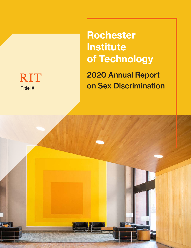

Rochester **Institute** of Technology 2020 Annual Report on Sex Discrimination

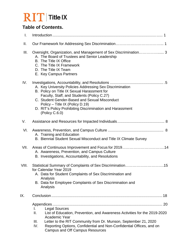# **RIT** Title IX

### **Table of Contents.**

| I.    |                                                                                                                                                                                                                                                                                                                                           |
|-------|-------------------------------------------------------------------------------------------------------------------------------------------------------------------------------------------------------------------------------------------------------------------------------------------------------------------------------------------|
| Ш.    |                                                                                                                                                                                                                                                                                                                                           |
| III.  | Oversight, Organization, and Management of Sex Discrimination 3<br>A. The Board of Trustees and Senior Leadership<br>B. The Title IX Office<br>C. The Title IX Framework<br>D. The Title IX Team<br>E. Key Campus Partners                                                                                                                |
| IV.   | A. Key University Policies Addressing Sex Discrimination<br>B. Policy on Title IX Sexual Harassment for<br>Faculty, Staff, and Students (Policy C.27)<br>C. Student Gender-Based and Sexual Misconduct<br>Policy - Title IX (Policy D.19)<br>D. RIT's Policy Prohibiting Discrimination and Harassment<br>(Policy C.6.0)                  |
| V.    |                                                                                                                                                                                                                                                                                                                                           |
| VI.   | A. Training and Education<br>B. Biennial Student Sexual Misconduct and Title IX Climate Survey                                                                                                                                                                                                                                            |
| VII.  | Areas of Continuous Improvement and Focus for 201914<br>A. Awareness, Prevention, and Campus Culture<br>B. Investigations, Accountability, and Resolutions                                                                                                                                                                                |
| VIII. | Statistical Summary of Complaints of Sex Discrimination15<br>for Calendar Year 2019<br>A. Data for Student Complaints of Sex Discrimination and<br>Analysis<br>B. Data for Employee Complaints of Sex Discrimination and<br>Analysis                                                                                                      |
| IX.   |                                                                                                                                                                                                                                                                                                                                           |
|       | <b>Legal Sources</b><br>I.<br>List of Education, Prevention, and Awareness Activities for the 2019-2020<br>Ⅱ.<br><b>Academic Year</b><br>Letter to the RIT Community from Dr. Munson, September 21, 2020<br>III.<br>Reporting Options, Confidential and Non-Confidential Offices, and on<br>IV.<br><b>Campus and Off Campus Resources</b> |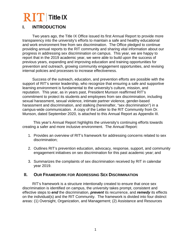### **I. INTRODUCTION**

Two years ago, the Title IX Office issued its first Annual Report to provide more transparency into the university's efforts to maintain a safe and healthy educational and work environment free from sex discrimination. The Office pledged to continue providing annual reports to the RIT community and sharing vital information about our progress in addressing sex discrimination on campus. This year, we are happy to report that in the 2019 academic year, we were able to build upon the success of previous years, expanding and improving education and training opportunities for prevention and outreach, growing community engagement opportunities, and revising internal policies and processes to increase effectiveness.

Success of the outreach, education, and prevention efforts are possible with the support of RIT's senior leadership, who recognize that ensuring a safe and supportive learning environment is fundamental to the university's culture, mission, and reputation. This year, as in years past, President Munson reaffirmed RIT's commitment to protect its students and employees from sex discrimination, including sexual harassment, sexual violence, intimate partner violence, gender-based harassment and discrimination, and stalking (hereinafter, "sex discrimination") in a campus-wide communication. A copy of the Letter to the RIT Community from Dr. Munson, dated September 2020, is attached to this Annual Report as Appendix III.

This year's Annual Report highlights the university's continuing efforts towards creating a safer and more inclusive environment. The Annual Report:

- 1. Provides an overview of RIT's framework for addressing concerns related to sex discrimination;
- 2. Outlines RIT's prevention education, advocacy, response, support, and community engagement initiatives on sex discrimination for this past academic year; and
- 3. Summarizes the complaints of sex discrimination received by RIT in calendar year 2019.

### **II. OUR FRAMEWORK FOR ADDRESSING SEX DISCRIMINATION**

RIT's framework is a structure intentionally created to ensure that once sex discrimination is identified on campus, the university takes prompt, consistent and effective steps to *end* the discrimination, *prevent* its recurrence, and *remedy* its effects on the individual(s) and the RIT Community. The framework is divided into four distinct areas: (1) Oversight, Organization, and Management; (2) Assistance and Resources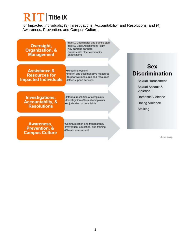for Impacted Individuals; (3) Investigations, Accountability, and Resolutions; and (4) Awareness, Prevention, and Campus Culture.

-Title IX Coordinator and trained staff Oversight, · Title IX Case Assessment Team **·Key campus partners Organization, &** -Policies with clear community **Management** expectations **Sex Assistance &** •Reporting options **Discrimination** ·Interim and accomodative measures **Resources for** •Supportive measures and resources **Impacted Individuals** •Other support services **Sexual Harassment** Sexual Assault & Violence **Domestic Violence** Investigations, ·Informal resolution of complaints ·Investigation of formal complaints **Accountablity, & Dating Violence** -Adjudication of complaints **Resolutions Stalking** Awareness, •Communication and transparency ·Prevention, education, and training **Prevention, &** •Climate assessment **Campus Culture** June 2019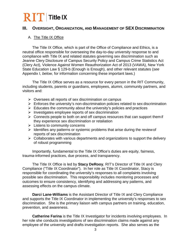### **III. OVERSIGHT, ORGANIZATION, AND MANAGEMENT OF SEX DISCRIMINATION**

#### A. The Title IX Office

The Title IX Office, which is part of the Office of Compliance and Ethics, is a neutral office responsible for overseeing the day-to-day university response to and compliance with Title IX and related statutes governing sex discrimination such as Jeanne Clery Disclosure of Campus Security Policy and Campus Crime Statistics Act (Clery Act), Violence Against Women Reauthorization Act of 2013 (VAWA), New York State Education Law § 129-b (Enough is Enough), and other relevant statutes (*see*  Appendix I, *below*, for information concerning these important laws.)

The Title IX Office serves as a resource for every person in the RIT Community, including students, parents or guardians, employees, alumni, community partners, and visitors and:

- $\triangleright$  Oversees all reports of sex discrimination on campus
- $\triangleright$  Enforces the university's non-discrimination policies related to sex discrimination
- $\triangleright$  Educates the community about the university's policies and practices
- $\triangleright$  Investigates employee reports of sex discrimination
- $\triangleright$  Connects people to both on and off campus resources that can support them if they experience sex discrimination or retaliation
- $\triangleright$  Listens to community concerns
- $\triangleright$  Identifies any patterns or systemic problems that arise during the review of reports of sex discrimination
- $\triangleright$  Collaborates with various departments and organizations to support the delivery of robust programming

Importantly, fundamental to the Title IX Office's duties are equity, fairness, trauma-informed practices, due process, and transparency.

The Title IX Office is led by **Stacy DeRooy**, RIT's Director of Title IX and Clery Compliance ("Title IX Coordinator"). In her role as Title IX Coordinator, Stacy is responsible for coordinating the university's responses to all complaints involving possible sex discrimination. This responsibility includes monitoring processes and outcomes to ensure consistency, identifying and addressing any patterns, and assessing effects on the campus climate.

**Darci Lane-Williams** is the Assistant Director of Title IX and Clery Compliance and supports the Title IX Coordinator in implementing the university's responses to sex discrimination. She is the primary liaison with campus partners on training, education, prevention, and awareness.

**Catherine Farina** is the Title IX Investigator for incidents involving employees. In her role she conducts investigations of sex discrimination claims made against any employee of the university and drafts investigation reports. She also serves as the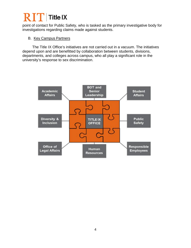### $\overline{\text{R}}$   $\overline{\text{I}}$  Title IX

point of contact for Public Safety, who is tasked as the primary investigative body for investigations regarding claims made against students.

### B. Key Campus Partners

The Title IX Office's initiatives are not carried out in a vacuum. The initiatives depend upon and are benefitted by collaboration between students, divisions, departments, and colleges across campus, who all play a significant role in the university's response to sex discrimination.

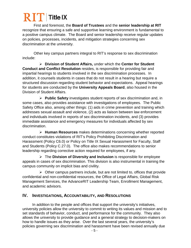# $\overline{\text{R}}$   $\overline{\text{I}}$  Title IX

First and foremost, the **Board of Trustees** and the **senior leadership at RIT** recognize that ensuring a safe and supportive learning environment is fundamental to a positive campus climate. The Board and senior leadership receive regular updates on policies, processes, incidents, and mitigation strategies concerning sex discrimination at the university.

Other key campus partners integral to RIT's response to sex discrimination include:

 **Division of Student Affairs,** under which the **Center for Student Conduct and Conflict Resolution** resides, is responsible for providing fair and impartial hearings to students involved in the sex discrimination processes. In addition, it counsels students in cases that do not result in a hearing but require a structured discussion regarding student behavior and expectations. Appeal hearings for students are conducted by the **University Appeals Board**, also housed in the Division of Student Affairs.

 **Public Safety** investigates student reports of sex discrimination and, in some cases, also provides assistance with investigations of employees. The Public Safety Office also, among other things: (1) aids in crime prevention and training which addresses sexual assault and violence, (2) acts as liaison between law enforcement and individuals involved in reports of sex discrimination incidents, and (3) provides immediate assistance and emergency measures for individuals affected by sex discrimination.

 **Human Resources** makes determinations concerning whether reported conduct constitutes violations of RIT's Policy Prohibiting Discrimination and Harassment (Policy C6.0) or Policy on Title IX Sexual Harassment for Faculty, Staff and Students (Policy C.27.0). The office also makes recommendations to senior leadership regarding corrective action required for employees, if any.

 The **Division of Diversity and Inclusion** is responsible for employee appeals in cases of sex discrimination. This division is also instrumental in training the campus community on implicit bias and civility.

 $\triangleright$  Other campus partners include, but are not limited to, offices that provide confidential and non-confidential resources, the Office of Legal Affairs, Global Risk Management Services, the AdvanceRIT Leadership Team, Enrollment Management, and academic advisors.

### **IV. INVESTIGATIONS, ACCOUNTABILITY, AND RESOLUTIONS**

In addition to the people and offices that support the university's initiatives, university policies allow the university to commit to writing its values and mission and to set standards of behavior, conduct, and performance for the community. They also allows the university to provide guidance and a general strategy to decision-makers on how to handle issues as they arise. Over the last several years, the university's policies governing sex discrimination and harassment have been revised annually due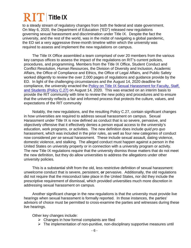to a steady stream of regulatory changes from both the federal and state government. On May 6, 2020, the Department of Education ("ED") released new regulations governing sexual harassment and discrimination under Title IX. Despite the fact the university, and the rest of the world, was in the midst of navigating a global pandemic, the ED set a very aggressive three-month timeline within which the university was required to assess and implement the new regulations on campus.

The Title IX Office assembled a team comprised of over 20 members from the various key campus offices to assess the impact of the regulations on RIT's current policies, procedures, and programming. Members from the Title IX Office, Student Conduct and Conflict Resolution, Human Resources, the Division of Diversity and Inclusion, Academic Affairs, the Office of Compliance and Ethics, the Office of Legal Affairs, and Public Safety worked diligently to review the over 2,000 pages of regulations and guidance provide by the ED. In light of the challenging circumstances and the August 14, 2020 deadline for compliance, the university enacted the Policy on Title IX Sexual Harassment for Faculty, Staff, [and Students \(Policy C.27\)](https://www.rit.edu/academicaffairs/policiesmanual/c270) on August 14, 2020. This was enacted on an interim basis to provide the RIT community with time to review the new policy and procedures and to ensure that the university reflects a fair and informed process that protects the culture, values, and expectations of the RIT community

Notably, the new regulations, and the resulting Policy C.27, contain significant changes in how universities are required to address sexual harassment on campus. Sexual Harassment under Title IX is now defined as conduct that is so severe, pervasive, and objectively offensive that it effectively denies a person equal access to the university's education, work programs, or activities. The new definition does include *quid pro quo* harassment, which was included in the prior rules, as well as four new categories of conduct now considered *per se* sexual harassment. These include sexual assault, dating violence, domestic violence, and stalking. The alleged conduct must happen against a person in the United States on university property or in connection with a university program or activity. The new Title IX regulations require that the university dismiss those matters that do not meet the new definition, but they do allow universities to address the allegations under other university policies.

This is a substantial shift from the old, less restrictive definition of sexual harassment: unwelcome conduct that is severe, persistent, **or** pervasive. Additionally, the old regulations did not require that the misconduct take place in the United States, nor did they include the prescriptive requirement of dismissal, which provided universities much more discretion in addressing sexual harassment on campus.

Another significant change in the new regulations is that the university must provide live hearings when sexual harassment is formally reported. In those instances, the parties' advisors of choice must be permitted to cross-examine the parties and witnesses during these live hearings.

Other key changes include:

- $\triangleright$  Changes in how formal complaints are filed
- $\triangleright$  The implementation of non-punitive, non-disciplinary supportive measures until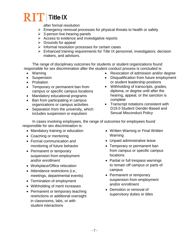after formal resolution

- $\triangleright$  Emergency removal processes for physical threats to health or safety
- $\geq$  3-person live-hearing panels
- $\triangleright$  Access to evidence and investigative reports
- $\triangleright$  Grounds for appeal
- $\triangleright$  Informal resolution processes for certain cases
- $\triangleright$  Enhanced training requirements for Title IX personnel, investigators, decision makers, and advisors.

The range of disciplinary outcomes for students or student organizations found responsible for sex discrimination after the student conduct process is concluded is:

- Warning
- Suspension
- Probation
- Temporary or permanent ban from campus or specific campus locations
- Mandatory educational programs
- Ban from participating in campus organizations or campus activities
- Separation from the university, which includes suspension or expulsion
- Revocation of admission and/or degree
- Disqualification from future employment or student leadership positions
- Withholding of transcripts, grades, diploma, or degree until after the hearing, appeal, or the sanction is complete
- Transcript notations consistent with D19.0 Student Gender-Based and Sexual Misconduct Policy

In cases involving employees, the range of outcomes for employees found responsible for sex discrimination is:

- Mandatory training or education
- Coaching or mentoring
- Formal communication and monitoring of future behavior
- Permanent or temporary suspension from employment and/or enrollment
- Workplace/Office relocation
- Attendance restrictions (*i.e.*, meetings, departmental events)
- Termination of employment
- Withholding of merit increases
- Permanent or temporary teaching restrictions or additional oversight in classrooms, labs, or with student interactions
- Written Warning or Final Written Warning
- Unpaid administrative leave
- Temporary or permanent ban from campus or specific campus **locations**
- Partial or full trespass warnings to remain off campus or parts of campus
- Permanent or temporary suspension from employment and/or enrollment
- Demotion or removal of supervisory duties or titles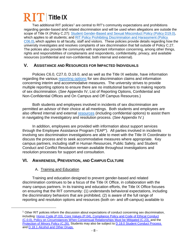### $\bf R$   $\bf T$  Title IX

Two additional RIT policies<sup>[1](#page-9-0)</sup> are central to RIT's community expectations and prohibitions regarding gender-based and related discrimination and will be used when allegations are outside the scope of Title IX (Policy C.27): [Student Gender-Based and Sexual Misconduct Policy \(Policy D19.0\),](https://www.rit.edu/academicaffairs/policiesmanual/d190-interim-policy-student-gender-based-and-sexual-misconduct-policy-title-ix) which applies to all students; and RIT Policy Prohibiting Discrimination and Harassment (Policy [C06.0\),](https://www.rit.edu/academicaffairs/policiesmanual/c060) which applies to all faculty, staff and visitors. These policies provide details regarding how the university investigates and resolves complaints of sex discrimination that fall outside of Policy C.27. The policies also provide the community with important information concerning, among other things, rights and responsibilities of complainants and respondents, confidentiality, privacy, and available resources (confidential and non-confidential, both internal and external).

### **V. ASSISTANCE AND RESOURCES FOR IMPACTED INDIVIDUALS**

Policies C6.0, C27.0, D.19.0, and as well as the Title IX website, have information regarding the various [reporting options](https://www.rit.edu/fa/compliance/content/reporting) for sex discrimination claims and information concerning interim and accommodative measures. The university strives to provide multiple reporting options to ensure there are no institutional barriers to making reports of sex discrimination. (*See* Appendix IV, List of Reporting Options, Confidential and Non-Confidential Offices and On Campus and Off Campus Resources.)

Both students and employees involved in incidents of sex discrimination are permitted an advisor of their choice at all meetings. Both students and employees are also offered internal and external [resources](https://www.rit.edu/fa/compliance/content/confidential-support) (including confidential options) to assist them in navigating the investigatory and resolution process. (*See* Appendix IV.)

In addition, employees are provided with information about support services through the Employee Assistance Program ("EAP"). All parties involved in incidents involving sex discrimination investigations are able to meet with the Title IX Coordinator to discuss the process and to seek accommodative measures where appropriate. Key campus partners, including staff in Human Resources, Public Safety, and Student Conduct and Conflict Resolution remain available throughout investigations and resolution processes for support and consultation.

### **VI. AWARENESS, PREVENTION, AND CAMPUSCULTURE**

### A. Training and Education

<span id="page-9-0"></span> $\ddot{\phantom{a}}$ 

Training and education designed to prevent gender-based and related discrimination continues to be a focus of the Title IX Office, in collaboration with the many campus partners. In its training and education efforts, the Title IX Office focuses on ensuring that the RIT community: (1) understands behavioral expectations, including the discriminatory behaviors that are prohibited, (2) is aware of the full range of reporting and resolution options and resources (both on- and off-campus) available to

 $<sup>1</sup>$  Other RIT policies inform the discussion about expectations of conduct concerning sex discrimination,</sup> including: [Honor Code \(P.03\), Core Values \(P.04\),](https://www.rit.edu/academicaffairs/policiesmanual/p030) [Compliance Policy and Code of Ethical Conduct](https://www.rit.edu/academicaffairs/policiesmanual/c000) [\(C.0.0\), Policy on Circumstances When Consensual Relationships Must be Mitigated \(C.23\), a](https://www.rit.edu/academicaffairs/policiesmanual/c000)nd the [Protection of Minors Policy \(C.26\).](https://www.rit.edu/academicaffairs/policiesmanual/c260) Students may also be subject to [D.18.0 Student Conduct Process](https://www.rit.edu/academicaffairs/policiesmanual/d180)  and [D.18.1 Alcohol and Other Drugs.](https://www.rit.edu/academicaffairs/policiesmanual/d181)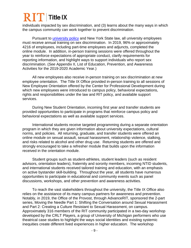### $\bf{2}$   $\bf{T}$  Title IX

individuals impacted by sex discrimination, and (3) learns about the many ways in which the campus community can work together to prevent discrimination.

Pursuant to [university policy](https://www.rit.edu/academicaffairs/policiesmanual/c250) and New York State law, all university employees must receive annual training on sex discrimination. In 2019, 96% or approximately 4216 of employees, including part-time employees and adjuncts, completed the online module. In addition, in-person training sessions were offered throughout the year to reinforce expectations of appropriate conduct, clarify requirements for reporting information, and highlight ways to support individuals who report sex discrimination. (*See* Appendix II, List of Education, Prevention, and Awareness Activities for the 2019-2020 Academic Year.)

All new employees also receive in-person training on sex discrimination at new employee orientation. The Title IX Office provided in-person training to all sessions of New Employee Orientation offered by the Center for Professional Development during which new employees were introduced to campus policy, behavioral expectations, rights and responsibilities under the law and RIT policy, and available support services.

During New Student Orientation, incoming first year and transfer students are provided opportunities to participate in programs that reinforce campus policy and behavioral expectations as well as available support services.

International students receive targeted programming during a separate orientation program in which they are given information about university expectations, cultural norms, and policies. All returning, graduate, and transfer students were offered an online module on sexual assault, sexual harassment, relationship violence, stalking, and risks related to alcohol and other drug use. Returning students are offered and strongly encouraged to take a refresher module that builds upon the information received in the orientation module.

Student groups such as student-athletes, student leaders (such as resident advisors, orientation leaders), fraternity and sorority members, incoming NTID students, and international students received tailored training and education, with an emphasis on active bystander skill-building. Throughout the year, all students have numerous opportunities to participate in educational and community events such as panel discussions, workshops, and other prevention and awareness activities.

To reach the vast stakeholders throughout the university, the Title IX Office also relies on the assistance of its many campus partners for awareness and prevention. Notably, in 2019, the Office of the Provost, through AdvanceRIT, sponsored the 2-part series, Moving the Needle Part 1: Shifting the Conversation around Sexual Harassment and Part 2: Creating a Culture Resistant to Sexual Harassment, on campus. Approximately 316 members of the RIT community participated in a two-day workshop developed by the CRLT Players, a group of University of Michigan performers who use theatrical case studies to highlight the ways social identities and existing systemic inequities create different lived experiences in higher education. The workshop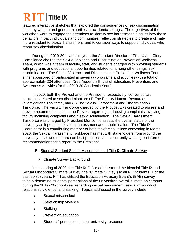featured interactive sketches that explored the consequences of sex discrimination faced by women and gender minorities in academic settings. The objectives of the workshop were to engage the attendees to identify sex harassment, discuss how those behaviors impact individuals and communities, reflect on strategies to create a climate more resistant to sexual harassment, and to consider ways to support individuals who report sex discrimination.

During the 2019-20 academic year, the Assistant Director of Title IX and Clery Compliance chaired the Sexual Violence and Discrimination Prevention Wellness Team, which was a team of faculty, staff, and students charged with providing students with programs and educational opportunities related to, among other things, sex discrimination. The Sexual Violence and Discrimination Prevention Wellness Team either sponsored or participated in seven (7) programs and activities with a total of approximately 234 attendees. (*See* Appendix II, List of Education, Prevention, and Awareness Activities for the 2019-20 Academic Year.)

In 2020, both the Provost and the President, respectively, convened two taskforces related to sex discrimination: (1) The Faculty Human Resources Investigations Taskforce, and (2) The Sexual Harassment and Discrimination Taskforce. The Faculty Taskforce charged by the Provost was created to assess and provide recommendations to the Provost regarding addressing complaints involving faculty including complaints about sex discrimination. The Sexual Harassment Taskforce was charged by President Munson to assess the overall status of the university as it pertains to sexual harassment and discrimination. The Title IX Coordinator is a contributing member of both taskforces. Since convening in March 2020, the Sexual Harassment Taskforce has met with stakeholders from around the university, reviewed research on best practices, and is currently working on informed recommendations for a report to the President.

### B. Biennial Student Sexual Misconduct and Title IX Climate Survey

**► Climate Survey Background** 

In the spring of 2020, the Title IX Office administered the biennial Title IX and Sexual Misconduct Climate Survey (the "Climate Survey") to all RIT students. For the past six (6) years, RIT has utilized the Education Advisory Board's (EAB) survey to help determine students' perceptions of the university's overall climate on campus during the 2019-20 school year regarding sexual harassment, sexual misconduct, relationship violence, and stalking. Topics addressed in the survey include:

- Sexual misconduct
- Relationship violence
- Stalking
- Prevention education
- Students' perceptions about university response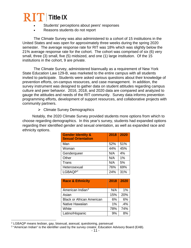### $\bf R$   $\bf T$  Title IX

- Students' perceptions about peers' responses
- Reasons students do not report

The Climate Survey was also administered to a cohort of 15 institutions in the United States and was open for approximately three weeks during the spring 2020 semester. The average response rate for RIT was 18% which was slightly below the 21% average response rate for the cohort. The cohort was comprised of six (6) very small, three (3) small, five (5) midsized, and one (1) large institution. Of the 15 institutions in the cohort, 9 are private.

The Climate Survey, administered biannually as a requirement of New York State Education Law 129-B, was marketed to the entire campus with all students invited to participate. Students were asked various questions about their knowledge of prevention efforts, on-campus resources, and case management. In addition, the survey instrument was designed to gather data on student attitudes regarding campus culture and peer behavior. 2016, 2018, and 2020 data are compared and analyzed to gauge the attitudes and needs of the RIT community. Survey data informs prevention programming efforts, development of support resources, and collaborative projects with community partners.

**► Climate Survey Demographics** 

Notably, the 2020 Climate Survey provided students more options from which to choose regarding demographics. In this year's survey, students had expanded options regarding their identified gender and sexual orientation, as well as expanded race and ethnicity options.

| <b>Gender Identity &amp;</b><br><b>Sexual Orientation</b> | 2018 | 2020 |
|-----------------------------------------------------------|------|------|
| Man                                                       | 52%  | 51%  |
| Woman                                                     | 44%  | 45%  |
| Genderqueer                                               | N/A  | 4%   |
| Other                                                     | N/A  | 1%   |
| Trans                                                     | N/A  | 5%   |
| Heterosexual                                              | 76%  | 69%  |
| LGBAQP <sup>2</sup>                                       | 24%  | 31%  |

| <b>Race &amp; Ethnicity</b>      | 2018 | 2020 |
|----------------------------------|------|------|
| American Indian <sup>3</sup>     | N/A  | 1%   |
| Asian                            | 15%  | 20%  |
| <b>Black or African American</b> | 6%   | 6%   |
| Native Hawaiian                  | 1%   | .4%  |
| White                            | 78%  | 74%  |
| Latino/Hispanic                  | 9%   | 8%   |

<span id="page-12-0"></span> $\overline{a}$ <sup>2</sup> LGBAQP means lesbian, gay, bisexual, asexual, questioning, pansexual

<span id="page-12-1"></span><sup>3</sup> "American Indian" is the identifier used by the survey creator, Education Advisory Board (EAB).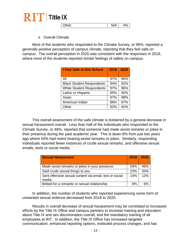

| <b>Other</b> | $1/\Lambda$ | A <sub>O</sub> |
|--------------|-------------|----------------|
|              | N/          | 70             |

**▶ Overall Climate** 

Most of the students who responded to the Climate Survey, or 96%, reported a generally positive perception of campus climate, reporting that they feel safe on campus. The overall perception in 2020 was consistent with the responses in 2018, where most of the students reported similar feelings of safety on campus.

| <b>I Feel Safe at this School</b> | 2018 | 2020 |
|-----------------------------------|------|------|
| All                               | 97%  | 96%  |
| <b>Black Student Respondents</b>  | 94%  | 92%  |
| <b>White Student Respondents</b>  | 97%  | 96%  |
| Latino or Hispanic                | 95%  | 92%  |
| Asian                             | 97%  | 98%  |
| American Indian                   | 86%  | 87%  |
| Other                             | 92%  | 92%  |

This overall assessment of the safe climate is bolstered by a general decrease in sexual harassment overall. Less than half of the individuals who responded to the Climate Survey, or 46%, reported that someone had made sexist remarks or jokes in their presence during the past academic year. This is down 8% from just two years ago where 54% had noted hearing sexist remarks or jokes. Similarly, responding individuals reported fewer instances of crude sexual remarks, and offensive sexual emails, texts or social media.

| <b>Sexual Harassment</b>                                         | 2018 | 2020 |
|------------------------------------------------------------------|------|------|
| Made sexist remarks or jokes in your presence                    | 54%  | 46%  |
| Said crude sexual things to you                                  | 22%  | 20%  |
| Sent offensive sexual content via email, text or social<br>media | 14%  | 12%  |
| Bribed for a romantic or sexual relationship                     | 6%   | 6%   |

In addition, the number of students who reported experiencing some form of unwanted sexual violence decreased from 2018 to 2020.

Results in overall decrease of sexual harassment may be correlated to increased efforts by the Title IX Office and campus partners to increase training and education about Title IX and sex discrimination overall, and the mandatory training of all employees at RIT. In addition, the Title IX Office has increased targeted communication, enhanced reporting options, instituted process changes, and has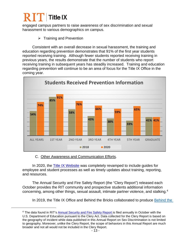### $\rm 2$   $\Gamma$  Title IX

<span id="page-14-0"></span> $\ddot{\phantom{a}}$ 

engaged campus partners to raise awareness of sex discrimination and sexual harassment to various demographics on campus.

 $\triangleright$  Training and Prevention

Consistent with an overall decrease in sexual harassment, the training and education regarding prevention demonstrates that 91% of the first year students reported receiving training. Although fewer students reported receiving training in previous years, the results demonstrate that the number of students who report receiving training in subsequent years has steadily increased. Training and education regarding prevention will continue to be an area of focus for the Title IX Office in the coming year.



#### C. Other Awareness and Communication Efforts.

In 2020, the [Title IX Website](https://www.rit.edu/fa/compliance/title-ix) was completely revamped to include guides for employee and student processes as well as timely updates about training, reporting, and resources.

The Annual Security and Fire Safety Report (the "Clery Report") released each October provides the RIT community and prospective students additional information concerning, among other things, sexual assault, intimate partner violence, and stalking.[4](#page-14-0)

In 2019, the Title IX Office and Behind the Bricks collaborated to produce [Behind the](https://www.youtube.com/watch?v=Ia5hBVii6Eg) 

<sup>&</sup>lt;sup>4</sup> The data found in RIT's [Annual Security and Fire Safety Report is](https://www.rit.edu/fa/publicsafety/sites/rit.edu.fa.publicsafety/files/2018AnnualSecurityReport.pdf) filed annually in October with the U.S. Department of Education pursuant to the Clery Act. Data collected for the Clery Report is based on the geography of incident while data published in this Annual Report on Sex Discrimination is not limited to geography. Moreover, unlike the Clery Report, the scope of behaviors in this Annual Report are much broader and not all would not be included in the Clery Report.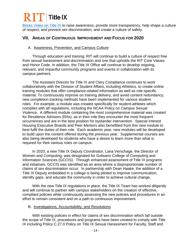## $\bf R$   $\bf T$  Title IX

[Bricks Video on Title](https://www.youtube.com/watch?v=Ia5hBVii6Eg) IX to raise awareness, provide more transparency, help shape a culture of respect, and prevent sex discrimination, and create a culture of safety.

### **VII. AREAS OF CONTINUOUS IMPROVEMENT AND FOCUS FOR 2020**

#### A. Awareness, Prevention, and Campus Culture

Through education and training, RIT will continue to build a culture of respect free from sexual harassment and discrimination and one that upholds the RIT Core Values and Honor Code. In addition, the Title IX Office will continue to develop ongoing, relevant, and impactful community programs and events in collaboration with its campus partners.

The Assistant Director for Title IX and Clery Compliance continues to work collaboratively with the Division of Student Affairs, including Athletics, to create online training modules that offer compliance-related information as well as role-specific material. To continuously improve on training delivery, and avoid content redundancy, new completion tracking methods have been implemented for various student roles. For example, a module was created specifically for student-athletes which complies with all regulations, including the NCAA Policy on Campus Sexual Violence. A different module containing the most comprehensive material was created for Residence Advisors (RAs), as in their role they encounter the most frequent occurrences and are in the best position for bystander intervention. Special Interest Housing Executive Boards and Peer Mentors also benefitted from this new module to best fulfil the duties of their role. Each academic year, new modules will be developed to build upon the content offered during the previous year. Supplemental courses are also being developed for students who have a desire to learn more than what is required for their various roles on campus.

In 2020, a new Title IX Deputy Coordinator, Lana Verschage, the Director of Women and Computing, was designated for Golisano College of Computing and Information Sciences (GCCIS). Through enhanced assessment of Title IX programs and initiatives, GCCIS was identified as an area where a disproportionate number of claims of sex discrimination occur. In partnership with Dean Haake, the addition of a Title IX Deputy embedded in a college is being piloted to improve communication, identify gaps. and educate the community in order to achieve cultural change.

With the new Title IX regulations in place, the Title IX Team has worked diligently and will continue to partner with campus stakeholders on the creation of effective, compliant policies while continuously assessing the new policies and procedures in an effort to remain consistent and on a path to continuous improvement.

#### B. Investigations, Accountability, and Resolutions

With existing policies in effect for claims of sex discrimination which fall outside the scope of Title IX, procedures and programs have been created to comply with Title IX including Policy C.27.0 Policy on Title IX Sexual Harassment for Faculty, Staff and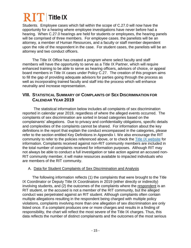# $\bf{2}$   $\bf{T}$  Title IX

Students. Employee cases which fall within the scope of C.27.0 will now have the opportunity for a hearing where employee investigations have never before had a hearing. When C.27.0 hearings are held for students or employees, the hearing panels will be comprised of three members. For employee cases. the panelists will be an attorney, a member of Human Resources, and a faculty or staff member dependent upon the role of the respondent in the case. For student cases, the panelists will be an attorney and two conduct officers.

The Title IX Office has created a program where select faculty and staff members will have the opportunity to serve as a Title IX Partner, which will require enhanced training to be able to serve as hearing officers, advisors of choice, or appeal board members in Title IX cases under Policy C.27. The creation of this program aims to fill the gap of providing adequate advisors for parties going through the process as well as incorporating trained faculty and staff into the process which will enhance neutrality and increase representation.

### **VIII. STATISTICAL SUMMARY OF COMPLAINTS OF SEX DISCRIMINATION FOR CALENDAR YEAR 2019**

The statistical information below includes all complaints of sex discrimination reported in calendar year 2019, regardless of where the alleged events occurred. The complaints of sex discrimination are sorted in broad categories based on the complainants' allegations. Due to privacy and confidentiality obligations, specific details and complexities of the complaints cannot be shared. For information about the key definitions in the report that explain the conduct encompassed in the categories, please refer to the section entitled Key Definitions in Appendix I. We also encourage the RIT community to refer to the policies referenced above, or to check the **Title IX** website for information. Complaints received against non-RIT community members are included in the total number of complaints received for information purposes. Although RIT may not always be able to conduct a full investigation or take action against an accused non-RIT community member, it will make resources available to impacted individuals who are members of the RIT community.

### A. Data for Student Complaints of Sex Discrimination and Analysis

The following information reflects (1) the complaints that were brought to the Title IX Coordinator or Deputy Title IX Coordinators in 2019 (either directly or indirectly) involving students, and (2) the outcomes of the complaints where the respondent is an RIT student, or the accused is not a member of the RIT community, but the alleged conduct was perpetrated against an RIT student. Although complaints often contain multiple allegations resulting in the respondent being charged with multiple policy violations, complaints involving more than one allegation of sex discrimination are only listed once. If a complaint produces one or more charges and results in a finding of responsibility, the chart will reflect the most severe of the Title IX charges. Thus, this data reflects the number of distinct complainants and the outcomes of the most serious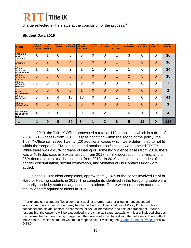### $\overline{\text{R}}$   $\overline{\text{I}}$  Title IX

charge reflected in the status at the conclusion of the process.<sup>[5](#page-17-0)</sup>

### **Student Data 2019**

<span id="page-17-0"></span> $\overline{a}$ 

| <b>CHARGE</b>                                          | <b>LEFT WITH</b><br><b>CHARGES</b><br><b>PENDING</b> | <b>ACCUSED</b><br><b>NON-</b><br><b>MEMBER</b> | <b>ACCUSED</b><br><b>UNKNOWN</b> | <b>COMPLAINT</b><br><b>WITHDRAWN</b> | <b>OUTCOME</b><br><b>INFORMAL</b><br><b>RESOLUTION</b> | <b>OUTCOME</b><br><b>HOLD</b> | <b>OUTCOME-</b><br><b>WARNING</b> | <b>OUTCOME-</b><br><b>NOT</b><br><b>RESONSIBLE</b> | <b>OUTCOME-</b><br><b>PROBATION</b> | <b>OUTCOME-</b><br><b>SUSPENSION</b> | <b>OUTCOME-</b><br><b>EXPULSION</b> | <b>NUMBER OF</b><br><b>COMPLAINTS</b> |
|--------------------------------------------------------|------------------------------------------------------|------------------------------------------------|----------------------------------|--------------------------------------|--------------------------------------------------------|-------------------------------|-----------------------------------|----------------------------------------------------|-------------------------------------|--------------------------------------|-------------------------------------|---------------------------------------|
| <b>DATING OR</b><br><b>DOMESTIC</b><br><b>VIOLENCE</b> | $\overline{0}$                                       | 1                                              | 0                                | 6                                    | 5                                                      | $\overline{0}$                | $\overline{0}$                    | 1                                                  | 3                                   | 0                                    | $\overline{0}$                      | 16                                    |
| <b>STALKING</b>                                        | 0                                                    | $\overline{2}$                                 | $\overline{0}$                   | $\overline{4}$                       | 6                                                      | $\overline{0}$                | $\overline{0}$                    | ◢                                                  | 1                                   | $\overline{2}$                       | $\overline{0}$                      | 16                                    |
| <b>SEXUAL</b><br><b>ASSAULT-</b><br><b>INTERCOURSE</b> | 1                                                    | 1                                              | 0                                | $\overline{2}$                       | 1                                                      | 1                             | $\overline{0}$                    | 4                                                  | 1                                   | 6                                    | $\overline{0}$                      | 14                                    |
| <b>SEXUAL</b><br><b>ASSAULT-</b><br><b>CONTACT</b>     | $\overline{0}$                                       | 3                                              | $\overline{0}$                   | 6                                    | 3                                                      | $\overline{0}$                | $\overline{0}$                    | 1                                                  | 2                                   | 3                                    | $\overline{0}$                      | 18                                    |
| <b>SEXUAL</b><br><b>ASSAULT-</b><br><b>UNKOWN</b>      | 0                                                    | $\overline{0}$                                 | 1                                | 6                                    | $\overline{0}$                                         | $\overline{0}$                | $\overline{0}$                    | $\overline{0}$                                     | 0                                   | $\overline{0}$                       | $\overline{0}$                      | $\overline{7}$                        |
| <b>GENDER</b><br><b>DISCRIMNATION</b>                  | $\overline{0}$                                       | $\overline{0}$                                 | $\overline{0}$                   | $\overline{0}$                       | 1                                                      | $\overline{0}$                | $\overline{0}$                    | $\overline{0}$                                     | $\overline{0}$                      | $\overline{0}$                       | $\overline{0}$                      | 1                                     |
| <b>SEXUAL</b><br><b>HARASSMENT</b>                     | $\overline{0}$                                       | $\overline{2}$                                 | 4                                | 15                                   | 18                                                     | $\overline{0}$                | $\overline{0}$                    | 1                                                  | 1                                   | $\overline{0}$                       | $\overline{0}$                      | 41                                    |
| <b>SEXUAL</b><br><b>EXPLOITATION</b>                   | $\overline{0}$                                       | $\overline{0}$                                 | $\overline{0}$                   | $\Omega$                             | $\overline{0}$                                         | $\overline{0}$                | $\overline{0}$                    | $\overline{0}$                                     | 1                                   | $\overline{0}$                       | $\overline{0}$                      | 1                                     |
| <b>VIOLATION OF</b><br><b>NO CONTACT</b><br>ORDER      | $\overline{0}$                                       | 0                                              | 0                                | $\overline{0}$                       | $\overline{0}$                                         | $\overline{0}$                | $\overline{2}$                    | 1                                                  | 0                                   | 1                                    | $\overline{0}$                      | $\overline{\mathbf{4}}$               |
| <b>TOTAL</b>                                           |                                                      | 9                                              | 5                                | 39                                   | 34                                                     | 1                             | $\overline{2}$                    | 6                                                  | 9                                   | 12                                   | $\bf{0}$                            | 118                                   |

In 2019, the Title IX Office processed a total of 118 complaints which is a drop of 23.87% (155 cases) from 2018. Despite not fitting within the scope of the policy, the Title IX Office still assed Twenty (20) additional cases which were determined to not fit within the scope of a TIX complaint and another six (6) cases were labeled TIX FYI. While there was a 45% increase of Dating or Domestic Violence cases from 2018, there was a 40% decrease in Sexual assault from 2018, a 43% decrease in stalking, and a 35% decrease in sexual harassment from 2018. In 2019, additional categories of gender discrimination, sexual exploitation, and violation of No Contact Order were added.

Of the 118 student complaints, approximately 24% of the cases involved Deaf or Hard of Hearing students in 2019. The complaints identified in the foregoing table were primarily made by students against other students. There were no reports made by faculty or staff against students in 2019.

 $<sup>5</sup>$  For example, if a student files a complaint against a former partner alleging nonconsensual</sup> intercourse, the accused student may be charged with multiple violations of Policy D.19.0 such as nonconsensual sexual contact, nonconsensual sexual intercourse, and sexual harassment. If found responsible, the outcome will be categorized in the chart as sexual assault, with lesser included charges (*i.e*., sexual harassment) being merged into the greater offense. In addition, the outcomes do not reflect those cases in which a student was found responsible for violating the [Student Conduct Process](https://www.rit.edu/academicaffairs/policiesmanual/d180) (Policy D.18.0).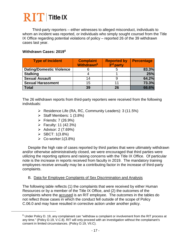# $\overline{\text{R}}$   $\overline{\text{T}}$  Title IX

Third-party reporters – either witnesses to alleged misconduct, individuals to whom an incident was reported, or individuals who simply sought counsel from the Title IX Office regarding potential violations of policy – reported 26 of the 39 withdrawn cases last year.

### **Withdrawn Cases: 2019[6](#page-18-0)**

| <b>Type of Incident</b>         | <b>Complaint</b><br><b>Withdrawn<sup>6</sup></b> | <b>Reported by</b><br>3rd party | <b>Percentage</b> |
|---------------------------------|--------------------------------------------------|---------------------------------|-------------------|
| <b>Dating/Domestic Violence</b> |                                                  |                                 | 83.3%             |
| <b>Stalking</b>                 |                                                  |                                 | 25%               |
| <b>Sexual Assault</b>           | 14                                               |                                 | 64.2%             |
| <b>Sexual Harassment</b>        | 15                                               |                                 | 73.3%             |
| <b>Total</b>                    | 39                                               | 26                              | 66.6%             |

The 26 withdrawn reports from third-party reporters were received from the following individuals:

- Residence Life (RA, RC, Community Leaders): 3 (11.5%)
- $\triangleright$  Staff Members: 1 (3.8%)
- Friends: 7 (26.9%)
- $\triangleright$  Faculty: 11 (42.3%)
- Advisor:  $2(7.69%)$
- $\triangleright$  SBCT: 1(3.8%)

<span id="page-18-0"></span> $\ddot{\phantom{a}}$ 

 $\triangleright$  Co-worker:1(3.8%)

Despite the high rate of cases reported by third parties that were ultimately withdrawn and/or otherwise administratively closed, we were encouraged that third parties were utilizing the reporting options and raising concerns with the Title IX Office. Of particular note is the increase in reports received from faculty in 2019. The mandatory training employees receive annually may be a contributing factor in the increase of third-party complaints.

### B. Data for Employee Complaints of Sex Discrimination and Analysis

The following table reflects (1) the complaints that were received by either Human Resources or by a member of the Title IX Office, and (2) the outcomes of the complaints where the accused is an RIT employee. The outcomes in the tables do not reflect those cases in which the conduct fell outside of the scope of Policy C.06.0 and may have resulted in corrective action under another policy.

 $6$  Under Policy D. 19, any complainant can "withdraw a complaint or involvement from the RIT process at any time." (Policy D.19, V.C.8). RIT will only proceed with an investigation without the complainant's consent in limited circumstances. (Policy D.19, VII.C).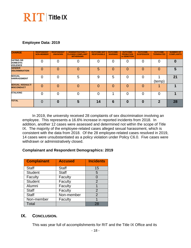### **RIT** Title IX

### **Employee Data: 2019**

| <b>CHARGE</b>                                          | <b>RESPONDENT</b><br><b>NON-MEMBER</b> | <b>RESPONDENT</b><br><b>UNKNOWN</b> | <b>ADMINISTRATIVELY</b><br><b>CLOSED/ COMPLAINT</b><br><b>WITHDRAWN</b> | <b>OUTCOME-NOT</b><br><b>RESPONSIBLE</b> | <b>OUTCOME-</b><br><b>WARNING</b> | <b>OUTCOME-</b><br><b>PROBATION</b><br>or DEMOTION | <b>OUTCOME-</b><br><b>SUSPENSION</b> | <b>OUTCOME-</b><br><b>TERMINATED</b> | <b>NUMBER OF</b><br><b>COMPLAINTS</b> |
|--------------------------------------------------------|----------------------------------------|-------------------------------------|-------------------------------------------------------------------------|------------------------------------------|-----------------------------------|----------------------------------------------------|--------------------------------------|--------------------------------------|---------------------------------------|
| <b>DATING OR</b><br><b>DOMESTIC</b><br><b>VIOLENCE</b> |                                        | $\overline{0}$                      |                                                                         | 0                                        | 0                                 | 0                                                  | 0                                    | 0                                    | $\mathbf{0}$                          |
| <b>GENDER</b><br><b>DISCRIMINATION</b>                 | 0                                      | $\overline{0}$                      |                                                                         | 5                                        | 0                                 | 0                                                  | 0                                    | 0                                    | 5                                     |
| <b>SEXUAL</b><br><b>HARRASSMENT</b>                    | 0                                      | 0                                   | 5                                                                       | 9                                        | 5                                 | 0                                                  | 0                                    | (temp)                               | 21                                    |
| <b>SEXUAL ASSAULT/</b><br><b>MISCONDUCT</b>            | 0                                      | 0                                   | 0                                                                       | 0                                        | 0                                 | 0                                                  | $\Omega$                             |                                      |                                       |
| <b>STALKING</b>                                        | 0                                      | 0                                   |                                                                         | 0                                        |                                   | 0                                                  | 0                                    | 0                                    |                                       |
| <b>TOTAL</b>                                           | 0                                      | 0                                   | 5                                                                       | 14                                       | 6                                 | 0                                                  | 0                                    | 2                                    | 28                                    |

In 2019, the university received 28 complaints of sex discrimination involving an employee. This represents a 16.6% increase in reported incidents from 2018. In addition, another 12 cases were assessed and determined not within the scope of Title IX. The majority of the employee-related cases alleged sexual harassment, which is consistent with the data from 2018. Of the 28 employee-related cases resolved in 2019, 14 cases were unsubstantiated as a policy violation under Policy C6.0. Five cases were withdrawn or administratively closed.

### **Complainant and Respondent Demographics: 2019**

| <b>Complainant</b> | <b>Accused</b> | <b>Incidents</b> |
|--------------------|----------------|------------------|
| <b>Staff</b>       | <b>Staff</b>   | 15               |
| <b>Student</b>     | <b>Staff</b>   | 5                |
| Faculty            | Faculty        | 0                |
| <b>Student</b>     | Faculty        | 2                |
| Alumni             | Faculty        |                  |
| <b>Staff</b>       | Faculty        | $\overline{2}$   |
| <b>Staff</b>       | Non-member     | $\overline{2}$   |
| Non-member         | Faculty        | 1                |
| Total              |                | 28               |

### **IX. CONCLUSION.**

This was year full of accomplishments for RIT and the Title IX Office and its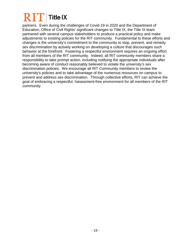### $\bf 2$   $\bf T$  Title IX

partners. Even during the challenges of Covid-19 in 2020 and the Department of Education, Office of Civil Rights' significant changes to Title IX, the Title IX team partnered with several campus stakeholders to produce a practical policy and make adjustments to existing policies for the RIT community. Fundamental to these efforts and changes is the university's commitment to the community to stop, prevent, and remedy sex discrimination by actively working on developing a culture that discourages such behavior at the forefront. Fostering a respectful environment requires an ongoing effort from all members of the RIT community. Indeed, all RIT community members share a responsibility to take prompt action, including notifying the appropriate individuals after becoming aware of conduct reasonably believed to violate the university's sex discrimination policies. We encourage all RIT Community members to review the university's policies and to take advantage of the numerous resources on campus to prevent and address sex discrimination. Through collective efforts, RIT can achieve the goal of embracing a respectful, harassment-free environment for all members of the RIT community.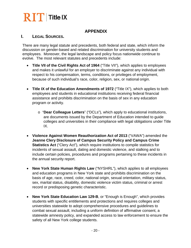# $\overline{\text{R}}$   $\overline{\text{T}}$  Title IX

### **APPENDIX**

### **I. LEGAL SOURCES.**

There are many legal statute and precedents, both federal and state, which inform the discussion on gender-based and related discrimination for university students and employees. Moreover, the legal landscape and policy focus nationwide continue to evolve. The most relevant statutes and precedents include:

- **Title VII of the Civil Rights Act of 1964** ("Title VII"), which applies to employees and makes it unlawful for an employer to discriminate against any individual with respect to his compensation, terms, conditions, or privileges of employment, because of such individual's race, color, religion, sex, or national origin.
- **Title IX of the Education Amendments of 1972** ("Title IX"), which applies to both employees and students in educational institutions receiving federal financial assistance and prohibits discrimination on the basis of sex in any education program or activity.
	- o "**Dear Colleague Letters**" ("DCLs"), which apply to educational institutions, are documents issued by the Department of Education intended to guide colleges and universities in their compliance with legal obligations under Title IX.
- **Violence Against Women Reauthorization Act of 2013** ("VAWA") amended the **Jeanne Clery Disclosure of Campus Security Policy and Campus Crime Statistics Act** ("Clery Act"), which require institutions to compile statistics for incidents of sexual assault, dating and domestic violence, and stalking and to include certain policies, procedures and programs pertaining to these incidents in the annual security report.
- **New York State Human Rights Law** ("NYSHRL"), which applies to all employees and education programs in New York state and prohibits discrimination on the basis of age, race, creed, color, national origin, sexual orientation, military status, sex, marital status, disability, domestic violence victim status, criminal or arrest record or predisposing genetic characteristic.
- **New York State Education Law 129-B**, or "Enough is Enough", which provides students with specific entitlements and protections and requires colleges and universities statewide to adopt comprehensive procedures and guidelines to combat sexual assault, including a uniform definition of affirmative consent, a statewide amnesty policy, and expanded access to law enforcement to ensure the safety of all New York college students.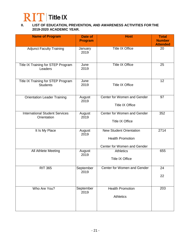

#### **II. LIST OF EDUCATION, PREVENTION, AND AWARENESS ACTIVITIES FOR THE 2019-2020 ACADEMIC YEAR.**

| <b>Name of Program</b>                                | Date of<br><b>Program</b> | <b>Host</b>                                                                              | <b>Total</b><br><b>Number</b><br><b>Attended</b> |
|-------------------------------------------------------|---------------------------|------------------------------------------------------------------------------------------|--------------------------------------------------|
| <b>Adjunct Faculty Training</b>                       | January<br>2019           | <b>Title IX Office</b>                                                                   | 20                                               |
| Title IX Training for STEP Program<br>Leaders         | June<br>2019              | <b>Title IX Office</b>                                                                   | 25                                               |
| Title IX Training for STEP Program<br><b>Students</b> | June<br>2019              | <b>Title IX Office</b>                                                                   | 12                                               |
| <b>Orientation Leader Training</b>                    | August<br>2019            | Center for Women and Gender<br><b>Title IX Office</b>                                    | 97                                               |
| <b>International Student Services</b><br>Orientation  | August<br>2019            | Center for Women and Gender<br><b>Title IX Office</b>                                    | 352                                              |
| It Is My Place                                        | August<br>2019            | <b>New Student Orientation</b><br><b>Health Promotion</b><br>Center for Women and Gender | 2714                                             |
| All Athlete Meeting                                   | August<br>2019            | <b>Athletics</b><br><b>Title IX Office</b>                                               | 655                                              |
| <b>RIT 365</b>                                        | September<br>2019         | Center for Women and Gender                                                              | 24<br>22                                         |
| Who Are You?                                          | September<br>2019         | <b>Health Promotion</b><br><b>Athletics</b>                                              | 203                                              |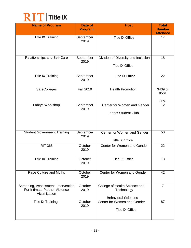

| <b>Name of Program</b>                                                                | Date of<br><b>Program</b> | <b>Host</b>                                                               | <b>Total</b><br><b>Number</b><br><b>Attended</b> |
|---------------------------------------------------------------------------------------|---------------------------|---------------------------------------------------------------------------|--------------------------------------------------|
| <b>Title IX Training</b>                                                              | September<br>2019         | <b>Title IX Office</b>                                                    | 17                                               |
| Relationships and Self-Care                                                           | September<br>2019         | Division of Diversity and Inclusion<br><b>Title IX Office</b>             | 18                                               |
| <b>Title IX Training</b>                                                              | September<br>2019         | <b>Title IX Office</b>                                                    | 22                                               |
| SafeColleges                                                                          | <b>Fall 2019</b>          | <b>Health Promotion</b>                                                   | 3439 of<br>9561<br><u>36%</u>                    |
| Labrys Workshop                                                                       | September<br>2019         | Center for Women and Gender<br>Labrys Student Club                        | $\overline{12}$                                  |
| <b>Student Government Training</b>                                                    | September<br>2019         | Center for Women and Gender<br><b>Title IX Office</b>                     | 50                                               |
| <b>RIT 365</b>                                                                        | October<br>2019           | Center for Women and Gender                                               | 22                                               |
| <b>Title IX Training</b>                                                              | October<br>2019           | <b>Title IX Office</b>                                                    | 13                                               |
| Rape Culture and Myths                                                                | October<br>2019           | Center for Women and Gender                                               | 42                                               |
| Screening, Assessment, Intervention<br>For Intimate Partner Violence<br>Victimization | October<br>2019           | College of Health Science and<br>Technology<br><b>Behavioral Sciences</b> | $\overline{7}$                                   |
| <b>Title IX Training</b>                                                              | October<br>2019           | Center for Women and Gender<br><b>Title IX Office</b>                     | 87                                               |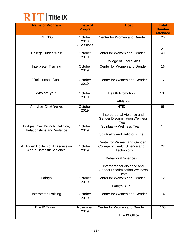

| <b>Name of Program</b>                                            | <b>Date of</b><br><b>Program</b> | <b>Host</b>                                                                                                                                              | <b>Total</b><br><b>Number</b> |
|-------------------------------------------------------------------|----------------------------------|----------------------------------------------------------------------------------------------------------------------------------------------------------|-------------------------------|
| <b>RIT 365</b>                                                    | October<br>2019<br>2 Sessions    | Center for Women and Gender                                                                                                                              | <b>Attended</b><br>20<br>21   |
| <b>College Brides Walk</b>                                        | October<br>2019                  | Center for Women and Gender<br><b>College of Liberal Arts</b>                                                                                            | 49                            |
| Interpreter Training                                              | October<br>2019                  | Center for Women and Gender                                                                                                                              | 16                            |
| #RelationshipGoals                                                | October<br>2019                  | Center for Women and Gender                                                                                                                              | 12                            |
| Who are you?                                                      | October<br>2019                  | <b>Health Promotion</b><br><b>Athletics</b>                                                                                                              | 131                           |
| <b>Armchair Chat Series</b>                                       | October<br>2019                  | <b>NTID</b><br>Interpersonal Violence and<br><b>Gender Discrimination Wellness</b><br>Team                                                               | 66                            |
| Bridges Over Brunch: Religion,<br>Relationships and Violence      | October<br>2019                  | Spirituality Wellness Team<br>Spirituality and Religious Life<br>Center for Women and Gender                                                             | 14                            |
| A Hidden Epidemic: A Discussion<br><b>About Domestic Violence</b> | October<br>2019                  | College of Health Science and<br>Technology<br><b>Behavioral Sciences</b><br>Interpersonal Violence and<br><b>Gender Discrimination Wellness</b><br>Team | 22                            |
| Labrys                                                            | October<br>2019                  | Center for Women and Gender<br>Labrys Club                                                                                                               | 12                            |
| <b>Interpreter Training</b>                                       | October<br>2019                  | Center for Women and Gender                                                                                                                              | 14                            |
| <b>Title IX Training</b>                                          | November<br>2019                 | Center for Women and Gender<br><b>Title IX Office</b>                                                                                                    | 153                           |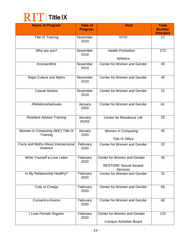

| <b>Name of Program</b>                          | Date of<br><b>Program</b> | <b>Host</b>                                                                     | <b>Total</b><br><b>Number</b><br><b>Attended</b> |
|-------------------------------------------------|---------------------------|---------------------------------------------------------------------------------|--------------------------------------------------|
| <b>Title IX Training</b>                        | November<br>2019          | <b>NTID</b>                                                                     | 17                                               |
| Who are you?                                    | November<br>2019          | <b>Health Promotion</b><br><b>Athletics</b>                                     | 272                                              |
| #consentfirst                                   | November<br>2019          | Center for Women and Gender                                                     | 45                                               |
| Rape Culture and Myths                          | November<br>2019          | Center for Women and Gender                                                     | 45                                               |
| <b>Casual Sexism</b>                            | November<br>2019          | Center for Women and Gender                                                     | 22                                               |
| #RelationshipGoals                              | January<br>2020           | Center for Women and Gender                                                     | 61                                               |
| <b>Resident Advisor Training</b>                | January<br>20202          | Center for Residence Life                                                       | 25                                               |
| Women in Computing (WiC) Title IX<br>Training   | January<br>2020           | Women in Computing<br><b>Title IX Office</b>                                    | 45                                               |
| Facts and Myths About Interpersonal<br>Violence | February<br>2020          | Center for Women and Gender                                                     | 22                                               |
| Write Yourself a Love Letter                    | February<br>2020          | Center for Women and Gender<br><b>RESTORE Sexual Assault</b><br><b>Services</b> | 40                                               |
| Is My Relationship Healthy?                     | February<br>2020          | Center for Women and Gender                                                     | 31                                               |
| Cute or Creepy                                  | February<br>2020          | Center for Women and Gender                                                     | 56                                               |
| Consent-o-Grams                                 | February<br>2020          | Center for Women and Gender                                                     | 60                                               |
| I Love Female Orgasm                            | February<br>2020          | Center for Women and Gender<br><b>Campus Activities Board</b>                   | 125                                              |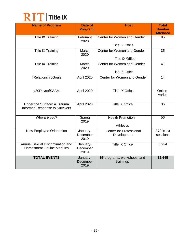

| <b>Name of Program</b>                                                | Date of                      | <b>Host</b>                                   | <b>Total</b><br><b>Number</b> |
|-----------------------------------------------------------------------|------------------------------|-----------------------------------------------|-------------------------------|
|                                                                       | <b>Program</b>               |                                               | <b>Attended</b>               |
| <b>Title IX Training</b>                                              | February<br>2020             | Center for Women and Gender                   | 85                            |
|                                                                       |                              | <b>Title IX Office</b>                        |                               |
| <b>Title IX Training</b>                                              | March<br>2020                | Center for Women and Gender                   | 35                            |
|                                                                       |                              | <b>Title IX Office</b>                        |                               |
| <b>Title IX Training</b>                                              | March<br>2020                | Center for Women and Gender                   | 41                            |
|                                                                       |                              | <b>Title IX Office</b>                        |                               |
| #RelationshipGoals                                                    | April 2020                   | Center for Women and Gender                   | 14                            |
| #30DaysofSAAM                                                         | April 2020                   | <b>Title IX Office</b>                        | Online-<br>varies             |
| Under the Surface: A Trauma<br>Informed Response to Survivors         | April 2020                   | <b>Title IX Office</b>                        | 36                            |
| Who are you?                                                          | Spring<br>2019               | <b>Health Promotion</b>                       | 56                            |
|                                                                       |                              | <b>Athletics</b>                              |                               |
| <b>New Employee Orientation</b>                                       | January-<br>December<br>2019 | <b>Center for Professional</b><br>Development | 272 in 10<br>sessions         |
| Annual Sexual Discrimination and<br><b>Harassment On-line Modules</b> | January-<br>December<br>2019 | <b>Title IX Office</b>                        | 3,924                         |
| <b>TOTAL EVENTS</b>                                                   | January-<br>December<br>2019 | 65 programs, workshops, and<br>trainings      | 12,645                        |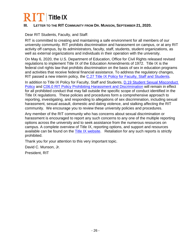# $\bf R$   $\bf T$  Title IX

### **III. LETTER TO THE RIT COMMUNITY FROM DR. MUNSON, SEPTEMBER 21, 2020.**

Dear RIT Students, Faculty, and Staff:

RIT is committed to creating and maintaining a safe environment for all members of our university community. RIT prohibits discrimination and harassment on campus, or at any RIT activity off campus, by its administrators, faculty, staff, students, student organizations, as well as external organizations and individuals in their operation with the university.

On May 6, 2020, the U.S. Department of Education, Office for Civil Rights released revised regulations to implement Title IX of the Education Amendments of 1972. Title IX is the federal civil rights law that prohibits discrimination on the basis of sex in education programs and activities that receive federal financial assistance. To address the regulatory changes, RIT passed a new interim policy, the [C.27 Title IX Policy for Faculty, Staff and Students.](https://www.rit.edu/academicaffairs/policiesmanual/c270)

In addition to Title IX Policy for Faculty, Staff and Students, D.19 Student Sexual Misconduct [Policy](https://www.rit.edu/academicaffairs/policiesmanual/d190-interim-policy-student-gender-based-and-sexual-misconduct-policy-title-ix) and [C06.0 RIT Policy Prohibiting Harassment and Discrimination](https://www.rit.edu/academicaffairs/policiesmanual/c060) will remain in effect for all prohibited conduct that may fall outside the specific scope of conduct identified in the Title IX regulations. These policies and procedures form a comprehensive approach to reporting, investigating, and responding to allegations of sex discrimination, including sexual harassment, sexual assault, domestic and dating violence, and stalking affecting the RIT community. We encourage you to review these university policies and procedures.

Any member of the RIT community who has concerns about sexual discrimination or harassment is encouraged to report any such concerns to any one of the multiple reporting options across the university and to seek assistance from the numerous resources on campus. A complete overview of Title IX, reporting options, and support and resources available can be found on the **Title IX website.** Retaliation for any such reports is strictly prohibited.

Thank you for your attention to this very important topic.

David C. Munson, Jr.

President, RIT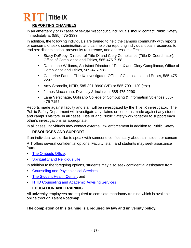# $\bf R$   $\bf T$  Title IX

### **REPORTING CHANNELS**

In an emergency or in cases of sexual misconduct, individuals should contact Public Safety immediately at (585) 475-3333.

In addition, the following individuals are trained to help the campus community with reports or concerns of sex discrimination, and can help the reporting individual obtain resources to end sex discrimination, prevent its recurrence, and address its effects:

- Stacy DeRooy, Director of Title IX and Clery Compliance (Title IX Coordinator), Office of Compliance and Ethics, 585-475-7158
- Darci Lane-Williams, Assistant Director of Title IX and Clery Compliance, Office of Compliance and Ethics, 585-475-7383
- Catherine Farina, Title IX Investigator, Office of Compliance and Ethics, 585-475- 2297
- Amy Stornello, NTID, 585-391-9990 (VP) or 585-709-1120 (text)
- James Macchiano, Diversity & Inclusion, 585-475-2290
- Lana Verschage, Golisano College of Computing & Information Sciences 585- 475-7155

Reports made against faculty and staff will be investigated by the Title IX investigator. The Public Safety Department will investigate any claims or concerns made against any student and campus visitors. In all cases, Title IX and Public Safety work together to support each other's investigations as appropriate.

In all cases, individuals may contact external law enforcement in addition to Public Safety.

### **RESOURCES AND SUPPORT**

If an individual would like to speak with someone confidentially about an incident or concern, RIT offers several confidential options. Faculty, staff, and students may seek assistance from:

- The Ombuds Office.
- **[Spirituality and Religious Life](https://www.rit.edu/studentaffairs/religion/)**

In addition to the foregoing options, students may also seek confidential assistance from:

- [Counseling and Psychological Services,](https://www.rit.edu/studentaffairs/counseling/)
- [The Student Health Center,](https://www.rit.edu/studentaffairs/studenthealth/) and
- [NTID Counseling and Academic Advising Services](https://www.rit.edu/ntid/caas)

### **EDUCATION AND TRAINING**

All university employees are required to complete mandatory training which is available online through Talent Roadmap.

### **The completion of this training is a required by law and university policy.**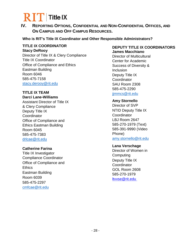**IV. REPORTING OPTIONS, CONFIDENTIAL AND NON-CONFIDENTIAL OFFICES, AND ON CAMPUS AND OFF CAMPUS RESOURCES.** 

### **Who is RIT's Title IX Coordinator and Other Responsible Administrators?**

#### **TITLE IX COORDINATOR Stacy DeRooy**

Director of Title IX & Clery Compliance Title IX Coordinator Office of Compliance and Ethics Eastman Building Room 6046 585-475-7158 [stacy.derooy@rit.edu](mailto:stacy.derooy@rit.edu)

### **TITLE IX TEAM**

### **Darci Lane-Williams** Assistant Director of Title IX & Clery Compliance Deputy Title IX **Coordinator** Office of Compliance and Ethics Eastman Building Room 6045 585-475-7383 [drlcae@rit.edu](mailto:drlcae@rit.edu)

### **Catherine Farina**

Title IX Investigator Compliance Coordinator Office of Compliance and **Ethics** Eastman Building Room 6039 585-475-2297 [cmfcae@rit.edu](mailto:cmfcae@rit.edu)

### **DEPUTY TITLE IX COORDINATORS James Macchiano**

Director of Multicultural Center for Academic Success of Diversity & Inclusion Deputy Title IX **Coordinator** SAU Room 2308 585-475-2290 [jjmmcs@rit.edu](mailto:jjmmcs@rit.edu)

### **Amy Stornello**

Director of SVP NTID Deputy Title IX **Coordinator** LBJ Room 2647 585-270-1979 (Text) 585-391-9990 (Video Phone) [amy.stornello@rit.edu](mailto:amy.stornello@rit.edu)

### **Lana Verschage**

Director of Women in **Computing** Deputy Title IX **Coordinator** GOL Room 2608 585-270-1979 [ltvvse@rit.edu](mailto:ltvvse@rit.edu)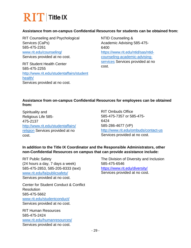

#### **Assistance from on-campus Confidential Resources for students can be obtained from:**

RIT Counseling and Psychological Services (CaPs) 585-475-2261 [www.rit.edu/counseling/](http://www.rit.edu/counseling/) Services provided at no cost.

RIT Student Health Center 585-475-2255 [http://www.rit.edu/studentaffairs/student](http://www.rit.edu/studentaffairs/studenthealth/) [health/](http://www.rit.edu/studentaffairs/studenthealth/) Services provided at no cost.

NTID Counseling & Academic Advising 585-475- 6400 [https://www.rit.edu/ntid/sas/ntid](https://www.rit.edu/ntid/sas/ntid-counseling-academic-advising-services)[counseling-academic-advising](https://www.rit.edu/ntid/sas/ntid-counseling-academic-advising-services)[services](https://www.rit.edu/ntid/sas/ntid-counseling-academic-advising-services) Services provided at no cost.

#### **Assistance from on-campus Confidential Resources for employees can be obtained from:**

Spirituality and Religious Life 585- 475-2137 [http://www.rit.edu/studentaffairs/](http://www.rit.edu/studentaffairs/religion) [religion](http://www.rit.edu/studentaffairs/religion) Services provided at no cost.

RIT Ombuds Office 585-475-7357 or 585-475- 6424 585-286-4677 (VP) <http://www.rit.edu/ombuds/contact-us> Services provided at no cost.

### **In addition to the Title IX Coordinator and the Responsible Administrators, other non-Confidential Resources on campus that can provide assistance include:**

RIT Public Safety (24 hours a day, 7 days a week) 585-475-2853, 585-205-8333 (text) [www.rit.edu/fa/publicsafety/](http://www.rit.edu/fa/publicsafety/) Services provided at no cost.

Center for Student Conduct & Conflict Resolution 585-475-5662 [www.rit.edu/studentconduct/](http://www.rit.edu/studentconduct/) Services provided at no cost.

RIT Human Resources 585-475-2424 [www.rit.edu/humanresources/](http://www.rit.edu/humanresources/) Services provided at no cost.

The Division of Diversity and Inclusion 585-475-6546 <https://www.rit.edu/diversity/> Services provided at no cost.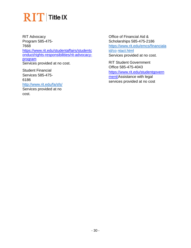RIT Advocacy Program 585-475- 7668 [https://www.rit.edu/studentaffairs/studentc](https://www.rit.edu/studentaffairs/studentconduct/rights-responsibilities/rit-advocacy-program) [onduct/rights-responsibilities/rit-advocacy](https://www.rit.edu/studentaffairs/studentconduct/rights-responsibilities/rit-advocacy-program)[program](https://www.rit.edu/studentaffairs/studentconduct/rights-responsibilities/rit-advocacy-program) Services provided at no cost.

Student Financial Services 585-475- 6186 <http://www.rit.edu/fa/sfs/>

Services provided at no cost.

Office of Financial Aid & Scholarships 585-475-2186 [https://www.rit.edu/emcs/financiala](https://www.rit.edu/emcs/financialaid/contact.html) [id/co](https://www.rit.edu/emcs/financialaid/contact.html) [ntact.html](https://www.rit.edu/emcs/financialaid/contact.html) Services provided at no cost.

RIT Student Government Office 585-475-4043 [https://www.rit.edu/studentgovern](https://www.rit.edu/studentgovernment/) [ment/A](https://www.rit.edu/studentgovernment/)ssistance with legal services provided at no cost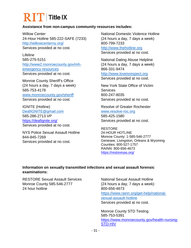# **RIT** Title IX

### **Assistance from non-campus community resources includes:**

Willow Center 24-Hour Hotline 585-222-SAFE (7233) <http://willowcenterny.org/> Services provided at no cost.

Lifeline 585-275-5151 [http://www2.monroecounty.gov/mh](http://www2.monroecounty.gov/mh-emergency-resources)[emergency-resources](http://www2.monroecounty.gov/mh-emergency-resources) Services provided at no cost.

Monroe County Sheriff's Office (24 hours a day, 7 days a week) 585-753-4178 [www.monroecounty.gov/sheriff](http://www.monroecounty.gov/sheriff) Services provided at no cost.

IGNITE (Hotline) [DeafIGNITE@gmail.com](mailto:DeafIGNITE@gmail.com) 585-286-2713 VP <https://deafignite.org/> Services provided at no cost.

NYS Police Sexual Assault Hotline 844-845-7269 Services provided at no cost.

National Domestic Violence Hotline (24 hours a day, 7 days a week) 800-799-7233 [http://www.thehotline.org](http://www.thehotline.org/) Services provided at no cost.

National Dating Abuse Helpline (24 hours a day, 7 days a week) 866-331-9474 [http://www.loveisrespect.org](http://www.loveisrespect.org/) Services provided at no cost.

New York State Office of Victim **Services** 800-247-8035 Services provided at no cost.

Resolve of Greater Rochester [www.resolve-roc.org](http://www.resolve-roc.org/) 585-425-1580 Services provided at no cost.

RESTORE 24-HOUR HOTLINE Monroe County: 1-585-546-2777 Genesee, Livingston, Orleans & Wyoming Counties: 800-527-1757 RAINN: 800-656-4673 <https://restoresas.org/>

#### **Information on sexually transmitted infections and sexual assault forensic examinations:**

RESTORE Sexual Assault Services Monroe County 585-546-2777 24 hour hotline

National Sexual Assault Hotline (24 hours a day, 7 days a week) 800-656-4673 [https://www.rainn.org/get-help/national](https://www.rainn.org/get-help/national-sexual-assault-hotline)[sexual-assault-hotline](https://www.rainn.org/get-help/national-sexual-assault-hotline) Services provided at no cost.

Monroe County STD Testing 585-753-5391 [https://www.monroecounty.gov/health-nursing-](https://www.monroecounty.gov/health-nursing-STD-HIV)[STD-HIV](https://www.monroecounty.gov/health-nursing-STD-HIV)